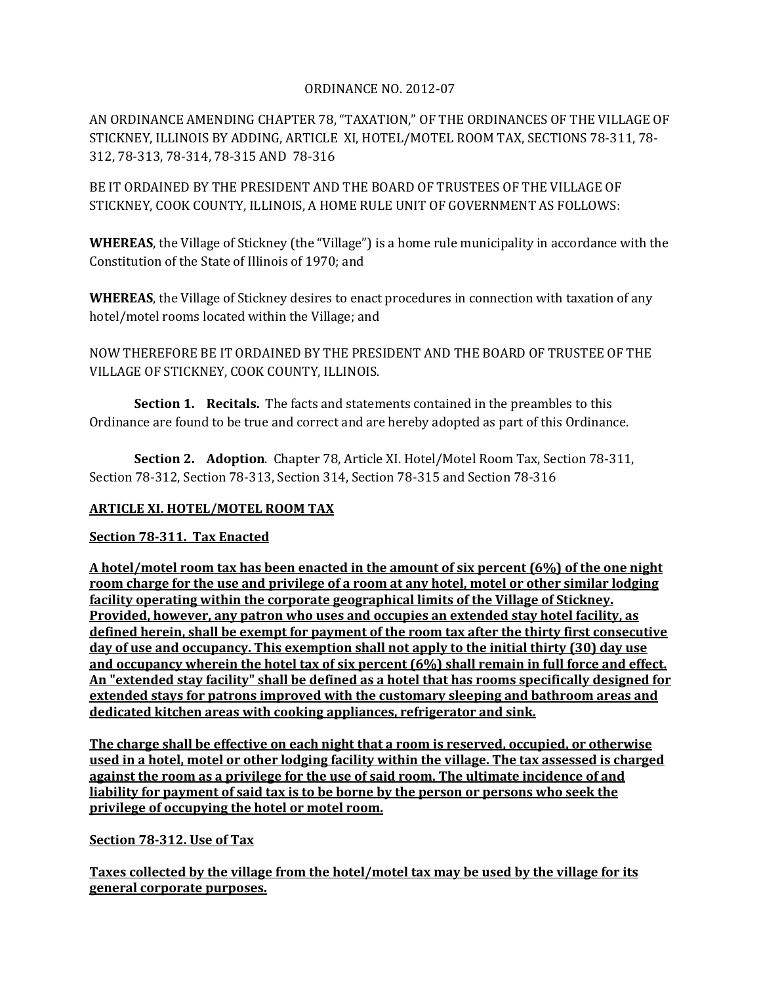## ORDINANCE NO. 2012-07

AN ORDINANCE AMENDING CHAPTER 78, "TAXATION," OF THE ORDINANCES OF THE VILLAGE OF STICKNEY, ILLINOIS BY ADDING, ARTICLE XI, HOTEL/MOTEL ROOM TAX, SECTIONS 78-311, 78- 312, 78-313, 78-314, 78-315 AND 78-316

BE IT ORDAINED BY THE PRESIDENT AND THE BOARD OF TRUSTEES OF THE VILLAGE OF STICKNEY, COOK COUNTY, ILLINOIS, A HOME RULE UNIT OF GOVERNMENT AS FOLLOWS:

**WHEREAS**, the Village of Stickney (the "Village") is a home rule municipality in accordance with the Constitution of the State of Illinois of 1970; and

**WHEREAS**, the Village of Stickney desires to enact procedures in connection with taxation of any hotel/motel rooms located within the Village; and

NOW THEREFORE BE IT ORDAINED BY THE PRESIDENT AND THE BOARD OF TRUSTEE OF THE VILLAGE OF STICKNEY, COOK COUNTY, ILLINOIS.

**Section 1. Recitals.** The facts and statements contained in the preambles to this Ordinance are found to be true and correct and are hereby adopted as part of this Ordinance.

**Section 2. Adoption**. Chapter 78, Article XI. Hotel/Motel Room Tax, Section 78-311, Section 78-312, Section 78-313, Section 314, Section 78-315 and Section 78-316

# **ARTICLE XI. HOTEL/MOTEL ROOM TAX**

### **Section 78-311. Tax Enacted**

**A hotel/motel room tax has been enacted in the amount of six percent (6%) of the one night room charge for the use and privilege of a room at any hotel, motel or other similar lodging facility operating within the corporate geographical limits of the Village of Stickney. Provided, however, any patron who uses and occupies an extended stay hotel facility, as defined herein, shall be exempt for payment of the room tax after the thirty first consecutive day of use and occupancy. This exemption shall not apply to the initial thirty (30) day use and occupancy wherein the hotel tax of six percent (6%) shall remain in full force and effect. An "extended stay facility" shall be defined as a hotel that has rooms specifically designed for extended stays for patrons improved with the customary sleeping and bathroom areas and dedicated kitchen areas with cooking appliances, refrigerator and sink.**

**The charge shall be effective on each night that a room is reserved, occupied, or otherwise used in a hotel, motel or other lodging facility within the village. The tax assessed is charged against the room as a privilege for the use of said room. The ultimate incidence of and liability for payment of said tax is to be borne by the person or persons who seek the privilege of occupying the hotel or motel room.** 

### **Section 78-312. Use of Tax**

**Taxes collected by the village from the hotel/motel tax may be used by the village for its general corporate purposes.**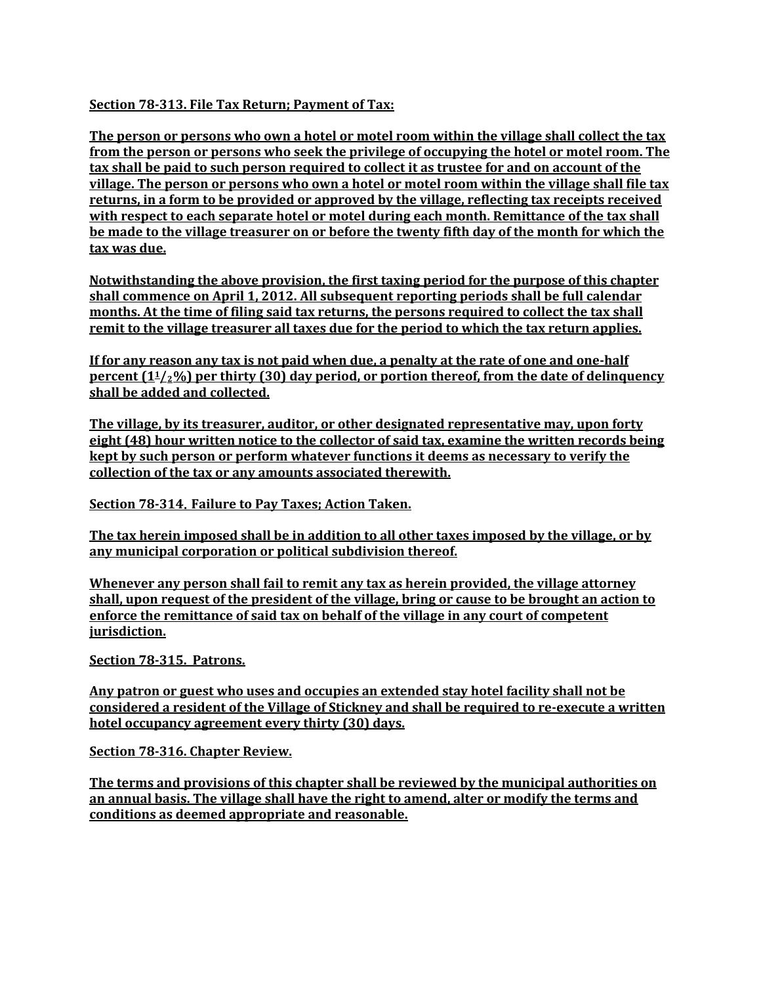### **Section 78-313. File Tax Return; Payment of Tax:**

**The person or persons who own a hotel or motel room within the village shall collect the tax from the person or persons who seek the privilege of occupying the hotel or motel room. The tax shall be paid to such person required to collect it as trustee for and on account of the village. The person or persons who own a hotel or motel room within the village shall file tax returns, in a form to be provided or approved by the village, reflecting tax receipts received with respect to each separate hotel or motel during each month. Remittance of the tax shall be made to the village treasurer on or before the twenty fifth day of the month for which the tax was due.**

**Notwithstanding the above provision, the first taxing period for the purpose of this chapter shall commence on April 1, 2012. All subsequent reporting periods shall be full calendar months. At the time of filing said tax returns, the persons required to collect the tax shall remit to the village treasurer all taxes due for the period to which the tax return applies.**

**If for any reason any tax is not paid when due, a penalty at the rate of one and one-half percent (11/2%) per thirty (30) day period, or portion thereof, from the date of delinquency shall be added and collected.**

**The village, by its treasurer, auditor, or other designated representative may, upon forty eight (48) hour written notice to the collector of said tax, examine the written records being kept by such person or perform whatever functions it deems as necessary to verify the collection of the tax or any amounts associated therewith.** 

**Section 78-314**. **Failure to Pay Taxes; Action Taken.**

**The tax herein imposed shall be in addition to all other taxes imposed by the village, or by any municipal corporation or political subdivision thereof.**

**Whenever any person shall fail to remit any tax as herein provided, the village attorney shall, upon request of the president of the village, bring or cause to be brought an action to enforce the remittance of said tax on behalf of the village in any court of competent jurisdiction.**

**Section 78-315. Patrons.**

**Any patron or guest who uses and occupies an extended stay hotel facility shall not be considered a resident of the Village of Stickney and shall be required to re-execute a written hotel occupancy agreement every thirty (30) days.** 

**Section 78-316. Chapter Review.**

**The terms and provisions of this chapter shall be reviewed by the municipal authorities on an annual basis. The village shall have the right to amend, alter or modify the terms and conditions as deemed appropriate and reasonable.**